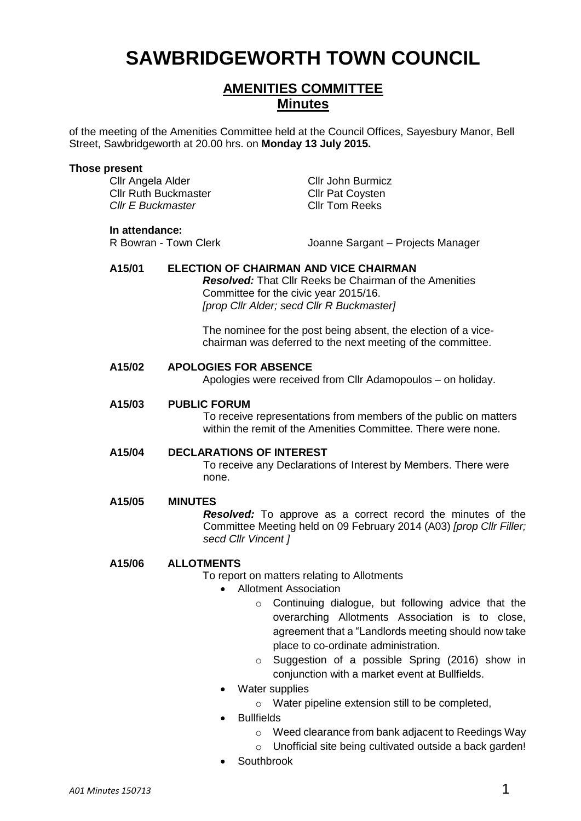# **SAWBRIDGEWORTH TOWN COUNCIL**

## **AMENITIES COMMITTEE Minutes**

of the meeting of the Amenities Committee held at the Council Offices, Sayesbury Manor, Bell Street, Sawbridgeworth at 20.00 hrs. on **Monday 13 July 2015.**

#### **Those present**

Cllr Angela Alder Cllr John Burmicz Cllr Ruth Buckmaster Cllr Pat Coysten *Cllr E Buckmaster* Cllr Tom Reeks **In attendance:**<br>R Bowran - Town Clerk Joanne Sargant – Projects Manager **A15/01 ELECTION OF CHAIRMAN AND VICE CHAIRMAN** *Resolved:* That Cllr Reeks be Chairman of the Amenities Committee for the civic year 2015/16. *[prop Cllr Alder; secd Cllr R Buckmaster]* The nominee for the post being absent, the election of a vicechairman was deferred to the next meeting of the committee. **A15/02 APOLOGIES FOR ABSENCE** Apologies were received from Cllr Adamopoulos – on holiday. **A15/03 PUBLIC FORUM** To receive representations from members of the public on matters within the remit of the Amenities Committee. There were none. **A15/04 DECLARATIONS OF INTEREST** To receive any Declarations of Interest by Members. There were none. **A15/05 MINUTES** *Resolved:* To approve as a correct record the minutes of the Committee Meeting held on 09 February 2014 (A03) *[prop Cllr Filler; secd Cllr Vincent ]* **A15/06 ALLOTMENTS** To report on matters relating to Allotments • Allotment Association o Continuing dialogue, but following advice that the overarching Allotments Association is to close, agreement that a "Landlords meeting should now take place to co-ordinate administration.

- o Suggestion of a possible Spring (2016) show in conjunction with a market event at Bullfields.
- Water supplies
	- o Water pipeline extension still to be completed,
- **Bullfields** 
	- o Weed clearance from bank adjacent to Reedings Way
	- o Unofficial site being cultivated outside a back garden!
- Southbrook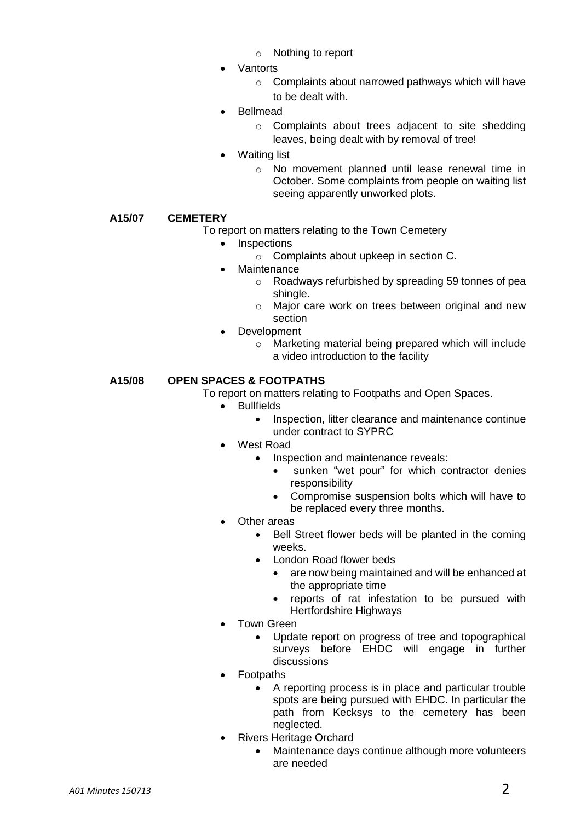- o Nothing to report
- **Vantorts** 
	- o Complaints about narrowed pathways which will have to be dealt with.
- Bellmead
	- o Complaints about trees adjacent to site shedding leaves, being dealt with by removal of tree!
- Waiting list
	- o No movement planned until lease renewal time in October. Some complaints from people on waiting list seeing apparently unworked plots.

#### **A15/07 CEMETERY**

- To report on matters relating to the Town Cemetery
	- Inspections
		- o Complaints about upkeep in section C.
		- **Maintenance** 
			- o Roadways refurbished by spreading 59 tonnes of pea shingle.
			- o Major care work on trees between original and new section
	- Development
		- o Marketing material being prepared which will include a video introduction to the facility

### **A15/08 OPEN SPACES & FOOTPATHS**

- To report on matters relating to Footpaths and Open Spaces.
	- Bullfields
		- Inspection, litter clearance and maintenance continue under contract to SYPRC
	- West Road
		- Inspection and maintenance reveals:
			- sunken "wet pour" for which contractor denies responsibility
			- Compromise suspension bolts which will have to be replaced every three months.
	- Other areas
		- Bell Street flower beds will be planted in the coming weeks.
		- London Road flower beds
			- are now being maintained and will be enhanced at the appropriate time
			- reports of rat infestation to be pursued with Hertfordshire Highways
	- Town Green
		- Update report on progress of tree and topographical surveys before EHDC will engage in further discussions
	- Footpaths
		- A reporting process is in place and particular trouble spots are being pursued with EHDC. In particular the path from Kecksys to the cemetery has been neglected.
	- Rivers Heritage Orchard
		- Maintenance days continue although more volunteers are needed